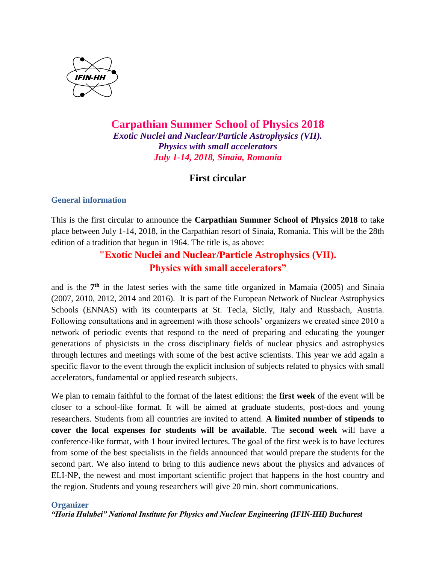

## **Carpathian Summer School of Physics 2018** *Exotic Nuclei and Nuclear/Particle Astrophysics (VII). Physics with small accelerators July 1-14, 2018, Sinaia, Romania*

## **First circular**

### **General information**

This is the first circular to announce the **Carpathian Summer School of Physics 2018** to take place between July 1-14, 2018, in the Carpathian resort of Sinaia, Romania. This will be the 28th edition of a tradition that begun in 1964. The title is, as above:

# **"Exotic Nuclei and Nuclear/Particle Astrophysics (VII). Physics with small accelerators"**

and is the 7<sup>th</sup> in the latest series with the same title organized in Mamaia (2005) and Sinaia (2007, 2010, 2012, 2014 and 2016). It is part of the European Network of Nuclear Astrophysics Schools (ENNAS) with its counterparts at St. Tecla, Sicily, Italy and Russbach, Austria. Following consultations and in agreement with those schools' organizers we created since 2010 a network of periodic events that respond to the need of preparing and educating the younger generations of physicists in the cross disciplinary fields of nuclear physics and astrophysics through lectures and meetings with some of the best active scientists. This year we add again a specific flavor to the event through the explicit inclusion of subjects related to physics with small accelerators, fundamental or applied research subjects.

We plan to remain faithful to the format of the latest editions: the **first week** of the event will be closer to a school-like format. It will be aimed at graduate students, post-docs and young researchers. Students from all countries are invited to attend. **A limited number of stipends to cover the local expenses for students will be available**. The **second week** will have a conference-like format, with 1 hour invited lectures. The goal of the first week is to have lectures from some of the best specialists in the fields announced that would prepare the students for the second part. We also intend to bring to this audience news about the physics and advances of ELI-NP, the newest and most important scientific project that happens in the host country and the region. Students and young researchers will give 20 min. short communications.

### **Organizer**

*"Horia Hulubei" National Institute for Physics and Nuclear Engineering (IFIN-HH) Bucharest*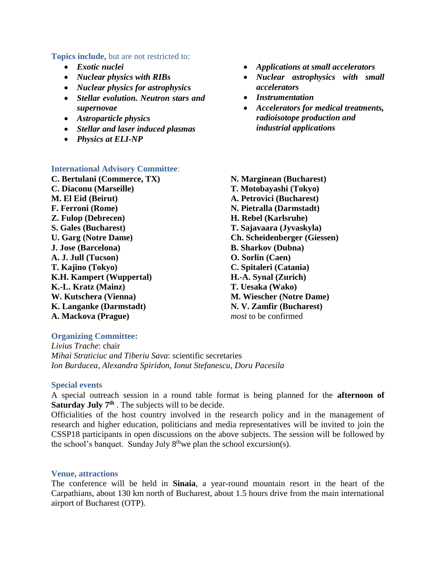#### **Topics include,** but are not restricted to:

- *Exotic nuclei*
- *Nuclear physics with RIBs*
- *Nuclear physics for astrophysics*
- *Stellar evolution. Neutron stars and supernovae*
- *Astroparticle physics*
- *Stellar and laser induced plasmas*
- *Physics at ELI-NP*

## **International Advisory Committee**:

**C. Bertulani (Commerce, TX) C. Diaconu (Marseille) M. El Eid (Beirut) F. Ferroni (Rome) Z. Fulop (Debrecen) S. Gales (Bucharest) U. Garg (Notre Dame) J. Jose (Barcelona) A. J. Jull (Tucson) T. Kajino (Tokyo) K.H. Kampert (Wuppertal) K.-L. Kratz (Mainz) W. Kutschera (Vienna) K. Langanke (Darmstadt) A. Mackova (Prague)**

- *Applications at small accelerators*
- *Nuclear astrophysics with small accelerators*
- *Instrumentation*
- *Accelerators for medical treatments, radioisotope production and industrial applications*
- **N. Marginean (Bucharest) T. Motobayashi (Tokyo) A. Petrovici (Bucharest) N. Pietralla (Darmstadt) H. Rebel (Karlsruhe) T. Sajavaara (Jyvaskyla) Ch. Scheidenberger (Giessen) B. Sharkov (Dubna) O. Sorlin (Caen) C. Spitaleri (Catania) H.-A. Synal (Zurich) T. Uesaka (Wako) M. Wiescher (Notre Dame) N. V. Zamfir (Bucharest)** *most* to be confirmed

### **Organizing Committee:**

*Livius Trache*: chair *Mihai Straticiuc and Tiberiu Sava*: scientific secretaries *Ion Burducea, Alexandra Spiridon, Ionut Stefanescu, Doru Pacesila*

#### **Special events**

A special outreach session in a round table format is being planned for the **afternoon of Saturday July 7th** . The subjects will to be decide.

Officialities of the host country involved in the research policy and in the management of research and higher education, politicians and media representatives will be invited to join the CSSP18 participants in open discussions on the above subjects. The session will be followed by the school's banquet. Sunday July  $8^{th}$  we plan the school excursion(s).

#### **Venue, attractions**

The conference will be held in **Sinaia**, a year-round mountain resort in the heart of the Carpathians, about 130 km north of Bucharest, about 1.5 hours drive from the main international airport of Bucharest (OTP).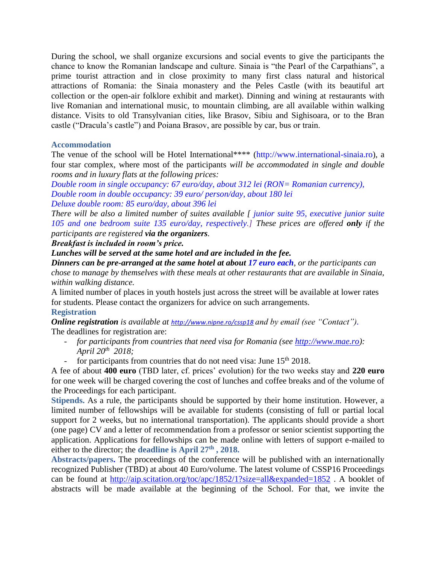During the school, we shall organize excursions and social events to give the participants the chance to know the Romanian landscape and culture. Sinaia is "the Pearl of the Carpathians", a prime tourist attraction and in close proximity to many first class natural and historical attractions of Romania: the Sinaia monastery and the Peles Castle (with its beautiful art collection or the open-air folklore exhibit and market). Dinning and wining at restaurants with live Romanian and international music, to mountain climbing, are all available within walking distance. Visits to old Transylvanian cities, like Brasov, Sibiu and Sighisoara, or to the Bran castle ("Dracula's castle") and Poiana Brasov, are possible by car, bus or train.

### **Accommodation**

The venue of the school will be Hotel International\*\*\*\* (http://www.international-sinaia.ro), a four star complex, where most of the participants *will be accommodated in single and double rooms and in luxury flats at the following prices:*

*Double room in single occupancy: 67 euro/day, about 312 lei (RON= Romanian currency), Double room in double occupancy: 39 euro/ person/day, about 180 lei*

*Deluxe double room: 85 euro/day, about 396 lei*

*There will be also a limited number of suites available [ junior suite 95, executive junior suite 105 and one bedroom suite 135 euro/day, respectively.] These prices are offered only if the participants are registered via the organizers.*

*Breakfast is included in room's price.* 

*Lunches will be served at the same hotel and are included in the fee.* 

*Dinners can be pre-arranged at the same hotel at about 17 euro each, or the participants can chose to manage by themselves with these meals at other restaurants that are available in Sinaia, within walking distance.*

A limited number of places in youth hostels just across the street will be available at lower rates for students. Please contact the organizers for advice on such arrangements.

### **Registration**

*Online registration is available at <http://www.nipne.ro/cssp18> and by email (see "Contact").* The deadlines for registration are:

- *for participants from countries that need visa for Romania (see [http://www.mae.ro\)](http://www.mae.ro/): April 20th 2018;*
- for participants from countries that do not need visa: June  $15<sup>th</sup> 2018$ .

A fee of about **400 euro** (TBD later, cf. prices' evolution) for the two weeks stay and **220 euro** for one week will be charged covering the cost of lunches and coffee breaks and of the volume of the Proceedings for each participant.

**Stipends.** As a rule, the participants should be supported by their home institution. However, a limited number of fellowships will be available for students (consisting of full or partial local support for 2 weeks, but no international transportation). The applicants should provide a short (one page) CV and a letter of recommendation from a professor or senior scientist supporting the application. Applications for fellowships can be made online with letters of support e-mailed to either to the director; the **deadline is April 27th , 2018.** 

**Abstracts/papers.** The proceedings of the conference will be published with an internationally recognized Publisher (TBD) at about 40 Euro/volume. The latest volume of CSSP16 Proceedings can be found at<http://aip.scitation.org/toc/apc/1852/1?size=all&expanded=1852> . A booklet of abstracts will be made available at the beginning of the School. For that, we invite the